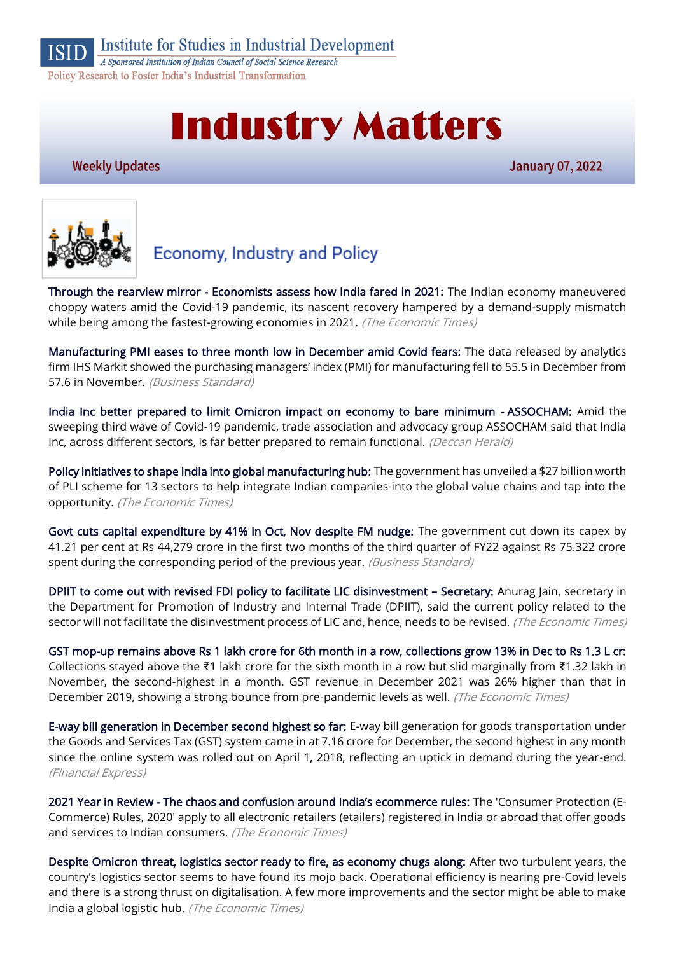

Institute for Studies in Industrial Development

A Sponsored Institution of Indian Council of Social Science Research Policy Research to Foster India's Industrial Transformation

# **Industry Matters**

#### **Weekly Updates**

**January 07, 2022** 



## **Economy, Industry and Policy**

[Through the rearview mirror - Economists assess how India fared in 2021:](https://economictimes.indiatimes.com/news/economy/indicators/through-the-rearview-mirror-economists-assess-how-india-fared-in-2021/articleshow/88598096.cms) The Indian economy maneuvered choppy waters amid the Covid-19 pandemic, its nascent recovery hampered by a demand-supply mismatch while being among the fastest-growing economies in 2021. (The Economic Times)

[Manufacturing PMI eases to three month low in December amid Covid fears:](https://www.business-standard.com/article/economy-policy/manufacturing-pmi-eases-to-three-month-low-in-december-amid-covid-fears-122010300325_1.html) The data released by analytics firm IHS Markit showed the purchasing managers' index (PMI) for manufacturing fell to 55.5 in December from 57.6 in November. (Business Standard)

[India Inc better prepared to limit Omicron impact on economy to bare minimum - ASSOCHAM:](https://www.deccanherald.com/national/west/india-inc-better-prepared-to-limit-omicron-impact-on-economy-to-bare-minimum-assocham-1068545.html) Amid the sweeping third wave of Covid-19 pandemic, trade association and advocacy group ASSOCHAM said that India Inc, across different sectors, is far better prepared to remain functional. (Deccan Herald)

[Policy initiatives to shape India into global manufacturing hub:](https://economictimes.indiatimes.com/news/economy/policy/policy-push-to-help-india-grab-manufacturing-opportunity/articleshow/88653130.cms) The government has unveiled a \$27 billion worth of PLI scheme for 13 sectors to help integrate Indian companies into the global value chains and tap into the opportunity. (The Economic Times)

[Govt cuts capital expenditure by 41% in Oct, Nov despite FM nudge:](https://www.business-standard.com/article/economy-policy/govt-cuts-capital-expenditure-by-41-in-oct-nov-despite-fm-nudge-122010600022_1.html) The government cut down its capex by 41.21 per cent at Rs 44,279 crore in the first two months of the third quarter of FY22 against Rs 75.322 crore spent during the corresponding period of the previous year. (Business Standard)

[DPIIT to come out with revised FDI policy to facilitate LIC disinvestment](https://economictimes.indiatimes.com/industry/banking/finance/insure/dpiit-to-come-out-with-revised-fdi-policy-to-facilitate-lic-disinvestment-secretary/articleshow/88738037.cms) – Secretary: Anurag Jain, secretary in the Department for Promotion of Industry and Internal Trade (DPIIT), said the current policy related to the sector will not facilitate the disinvestment process of LIC and, hence, needs to be revised. (The Economic Times)

[GST mop-up remains above Rs 1 lakh crore for 6th month in a row, collections grow 13% in Dec to Rs 1.3 L cr:](https://economictimes.indiatimes.com/news/economy/finance/gst-revenue-collection-at-rs-1-29-lakh-crore-in-december/articleshow/88632698.cms) Collections stayed above the ₹1 lakh crore for the sixth month in a row but slid marginally from ₹1.32 lakh in November, the second-highest in a month. GST revenue in December 2021 was 26% higher than that in December 2019, showing a strong bounce from pre-pandemic levels as well. (The Economic Times)

[E-way bill generation in December second highest so far:](https://www.financialexpress.com/economy/e-way-bill-generation-in-dec-second-highest-so-far/2397446/) E-way bill generation for goods transportation under the Goods and Services Tax (GST) system came in at 7.16 crore for December, the second highest in any month since the online system was rolled out on April 1, 2018, reflecting an uptick in demand during the year-end. (Financial Express)

2021 Year in Review - [The chaos and confusion around India's ecommerce rules:](https://economictimes.indiatimes.com/tech/tech-bytes/2021-year-in-review-the-chaos-and-confusion-around-indias-ecommerce-rules/articleshow/88614007.cms) The 'Consumer Protection (E-Commerce) Rules, 2020' apply to all electronic retailers (etailers) registered in India or abroad that offer goods and services to Indian consumers. (The Economic Times)

[Despite Omicron threat, logistics sector ready to fire, as economy chugs along:](https://economictimes.indiatimes.com/small-biz/sme-sector/despite-omicron-threat-logistics-sector-ready-to-fire-as-economy-chugs-along/articleshow/88703402.cms) After two turbulent years, the country's logistics sector seems to have found its mojo back. Operational efficiency is nearing pre-Covid levels and there is a strong thrust on digitalisation. A few more improvements and the sector might be able to make India a global logistic hub. (The Economic Times)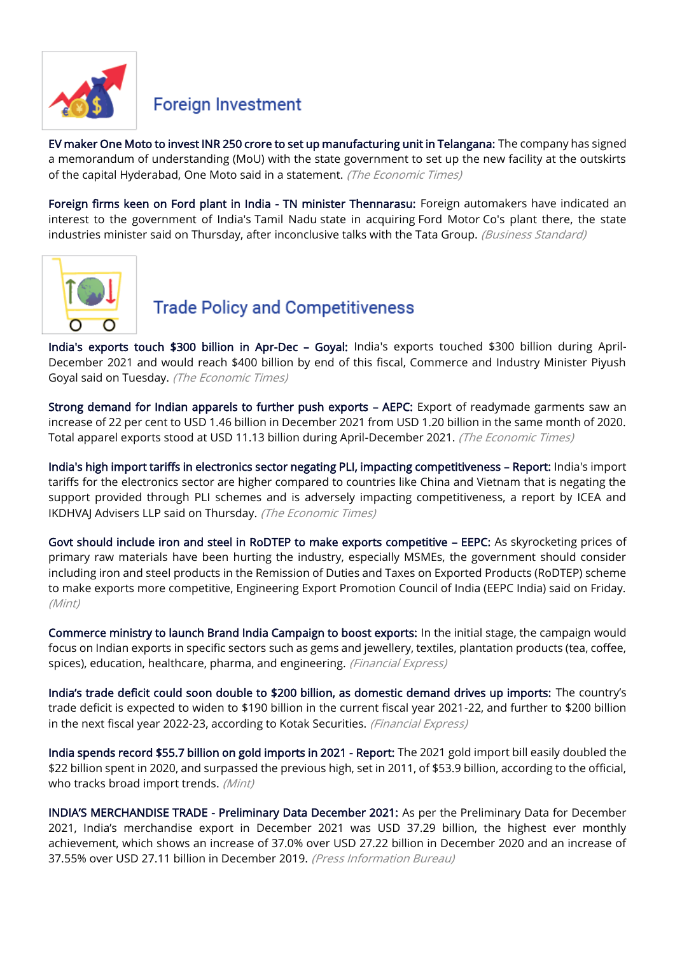

#### **Foreign Investment**

[EV maker One Moto to invest INR 250 crore to set up manufacturing unit in Telangana:](https://auto.economictimes.indiatimes.com/news/two-wheelers/scooters-mopeds/uk-startup-one-moto-plans-to-invest-inr-250-crore-to-set-up-manufacturing-unit-in-telangana/88679291) The company has signed a memorandum of understanding (MoU) with the state government to set up the new facility at the outskirts of the capital Hyderabad, One Moto said in a statement. (The Economic Times)

[Foreign firms keen on Ford plant in India - TN minister Thennarasu:](https://www.business-standard.com/article/companies/foreign-firms-keen-on-ford-plant-in-india-tn-minister-thennarasu-121123000847_1.html) Foreign automakers have indicated an interest to the government of India's Tamil Nadu state in acquiring Ford Motor Co's plant there, the state industries minister said on Thursday, after inconclusive talks with the Tata Group. (Business Standard)



#### **Trade Policy and Competitiveness**

[India's exports touch \\$300 billion in Apr-Dec](https://economictimes.indiatimes.com/small-biz/trade/exports/insights/indias-exports-touch-300-billion-in-apr-dec-goyal/articleshow/88702254.cms) – Goyal: India's exports touched \$300 billion during April-December 2021 and would reach \$400 billion by end of this fiscal, Commerce and Industry Minister Piyush Goyal said on Tuesday. (The Economic Times)

[Strong demand for Indian apparels to further push exports](https://economictimes.indiatimes.com/small-biz/trade/exports/insights/strong-demand-for-indian-apparels-to-further-push-exports-aepc/articleshow/88703347.cms) – AEPC: Export of readymade garments saw an increase of 22 per cent to USD 1.46 billion in December 2021 from USD 1.20 billion in the same month of 2020. Total apparel exports stood at USD 11.13 billion during April-December 2021. (The Economic Times)

[India's high import tariffs in electronics sector negating PLI, impacting competitiveness](https://economictimes.indiatimes.com/industry/cons-products/electronics/indias-high-import-tariffs-in-electronics-sector-negating-pli-impacting-competitiveness-report/articleshow/88734024.cms) – Report: India's import tariffs for the electronics sector are higher compared to countries like China and Vietnam that is negating the support provided through PLI schemes and is adversely impacting competitiveness, a report by ICEA and IKDHVAJ Advisers LLP said on Thursday. (The Economic Times)

[Govt should include iron and steel in RoDTEP to make exports competitive](https://www.livemint.com/industry/govt-should-include-iron-and-steel-in-rodtep-to-make-exports-competitive-eepc-11640938763351.html) – EEPC: As skyrocketing prices of primary raw materials have been hurting the industry, especially MSMEs, the government should consider including iron and steel products in the Remission of Duties and Taxes on Exported Products (RoDTEP) scheme to make exports more competitive, Engineering Export Promotion Council of India (EEPC India) said on Friday. (Mint)

[Commerce ministry to launch Brand India Campaign to boost exports:](https://www.financialexpress.com/economy/commerce-ministry-to-launch-brand-india-campaign-to-boost-exports/2398197/) In the initial stage, the campaign would focus on Indian exports in specific sectors such as gems and jewellery, textiles, plantation products (tea, coffee, spices), education, healthcare, pharma, and engineering. (Financial Express)

[India's trade deficit could soon double to \\$200 billion, as domestic demand drives up imports:](https://www.financialexpress.com/economy/indias-trade-deficit-could-soon-double-to-200-billion-as-domestic-demand-drives-up-imports/2398711/) The country's trade deficit is expected to widen to \$190 billion in the current fiscal year 2021-22, and further to \$200 billion in the next fiscal year 2022-23, according to Kotak Securities. (Financial Express)

[India spends record \\$55.7 billion on gold imports in 2021 - Report:](https://www.livemint.com/market/commodities/india-spends-record-55-7-billion-on-gold-imports-in-2021-report-11641287385174.html) The 2021 gold import bill easily doubled the \$22 billion spent in 2020, and surpassed the previous high, set in 2011, of \$53.9 billion, according to the official, who tracks broad import trends. (Mint)

INDIA'S MERCHANDISE TRADE [- Preliminary Data December 2021:](https://pib.gov.in/PressReleseDetail.aspx?PRID=1787201) As per the Preliminary Data for December 2021, India's merchandise export in December 2021 was USD 37.29 billion, the highest ever monthly achievement, which shows an increase of 37.0% over USD 27.22 billion in December 2020 and an increase of 37.55% over USD 27.11 billion in December 2019. (Press Information Bureau)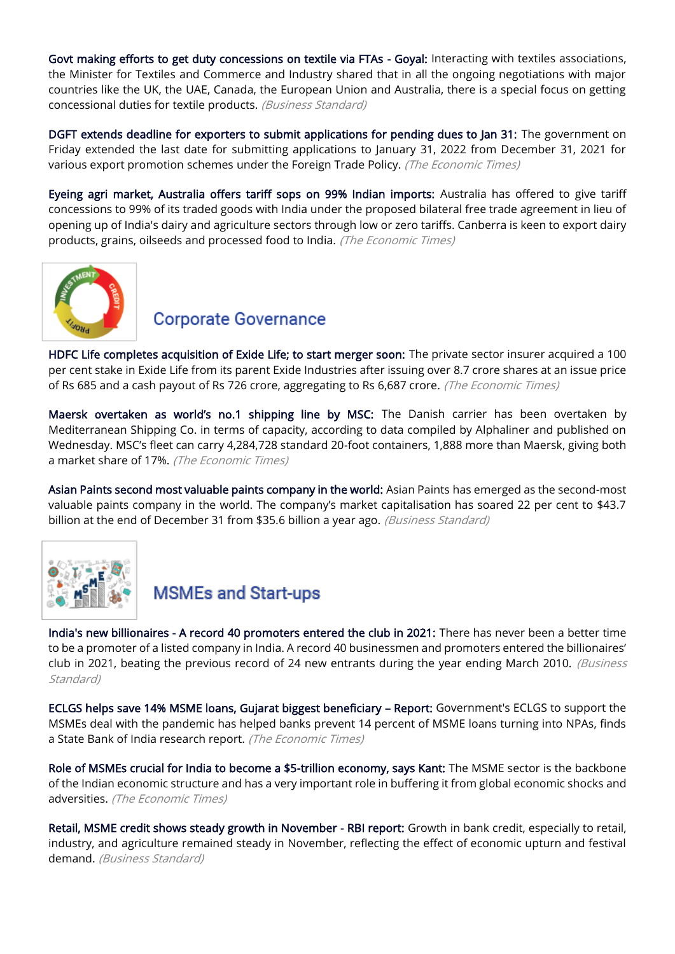[Govt making efforts to get duty concessions on textile via FTAs - Goyal:](https://www.business-standard.com/article/pti-stories/govt-making-efforts-to-gain-access-to-new-markets-get-duty-concessions-on-textile-via-ftas-goyal-122010401333_1.html) Interacting with textiles associations, the Minister for Textiles and Commerce and Industry shared that in all the ongoing negotiations with major countries like the UK, the UAE, Canada, the European Union and Australia, there is a special focus on getting concessional duties for textile products. (Business Standard)

[DGFT extends deadline for exporters to submit applications for pending dues to Jan 31:](https://economictimes.indiatimes.com/news/economy/foreign-trade/commerce-ministry-extends-deadline-for-exporters-to-submit-applications-for-pending-dues/articleshow/88621313.cms) The government on Friday extended the last date for submitting applications to January 31, 2022 from December 31, 2021 for various export promotion schemes under the Foreign Trade Policy. (The Economic Times)

[Eyeing agri market, Australia offers tariff sops on 99% Indian imports:](https://economictimes.indiatimes.com/news/economy/foreign-trade/eyeing-agri-market-australia-offers-tariff-sops-on-99-indian-imports/articleshow/88701157.cms) Australia has offered to give tariff concessions to 99% of its traded goods with India under the proposed bilateral free trade agreement in lieu of opening up of India's dairy and agriculture sectors through low or zero tariffs. Canberra is keen to export dairy products, grains, oilseeds and processed food to India. (The Economic Times)



#### **Corporate Governance**

[HDFC Life completes acquisition of Exide Life; to start merger soon:](https://economictimes.indiatimes.com/industry/banking/finance/insure/hdfc-life-completes-acquisition-of-exide-life-to-start-merger-soon/articleshow/88737398.cms) The private sector insurer acquired a 100 per cent stake in Exide Life from its parent Exide Industries after issuing over 8.7 crore shares at an issue price of Rs 685 and a cash payout of Rs 726 crore, aggregating to Rs 6,687 crore. (The Economic Times)

[Maersk overtaken as world's no.1 shipping line by MSC:](https://economictimes.indiatimes.com/small-biz/trade/exports/insights/maersk-overtaken-as-worlds-no-1-shipping-line-by-msc/articleshow/88724896.cms) The Danish carrier has been overtaken by Mediterranean Shipping Co. in terms of capacity, according to data compiled by Alphaliner and published on Wednesday. MSC's fleet can carry 4,284,728 standard 20-foot containers, 1,888 more than Maersk, giving both a market share of 17%. (The Economic Times)

[Asian Paints second most valuable paints company in the world:](https://www.business-standard.com/article/companies/asian-paints-second-most-valuable-paints-company-in-the-world-122010100028_1.html) Asian Paints has emerged as the second-most valuable paints company in the world. The company's market capitalisation has soared 22 per cent to \$43.7 billion at the end of December 31 from \$35.6 billion a year ago. (Business Standard)



### **MSMEs and Start-ups**

[India's new billionaires - A record 40 promoters entered the club in 2021:](https://www.business-standard.com/article/companies/india-s-new-billionaires-a-record-40-promoters-entered-the-club-in-2021-122010200905_1.html) There has never been a better time to be a promoter of a listed company in India. A record 40 businessmen and promoters entered the billionaires' club in 2021, beating the previous record of 24 new entrants during the year ending March 2010. (Business Standard)

[ECLGS helps save 14% MSME loans, Gujarat biggest beneficiary](https://economictimes.indiatimes.com/small-biz/sme-sector/msme-credit-guarantee-scheme-saved-13-5-lakh-firms-1-5-cr-jobs-report/articleshow/88731336.cms) – Report: Government's ECLGS to support the MSMEs deal with the pandemic has helped banks prevent 14 percent of MSME loans turning into NPAs, finds a State Bank of India research report. (The Economic Times)

[Role of MSMEs crucial for India to become a \\$5-trillion economy, says Kant:](https://economictimes.indiatimes.com/small-biz/sme-sector/role-of-msmes-crucial-for-india-to-become-a-5-trillion-economy-says-kant/articleshow/88605491.cms) The MSME sector is the backbone of the Indian economic structure and has a very important role in buffering it from global economic shocks and adversities. (The Economic Times)

[Retail, MSME credit shows steady growth in November - RBI report:](https://www.business-standard.com/article/economy-policy/retail-msme-credit-shows-steady-growth-in-november-rbi-report-121123101263_1.html) Growth in bank credit, especially to retail, industry, and agriculture remained steady in November, reflecting the effect of economic upturn and festival demand. (Business Standard)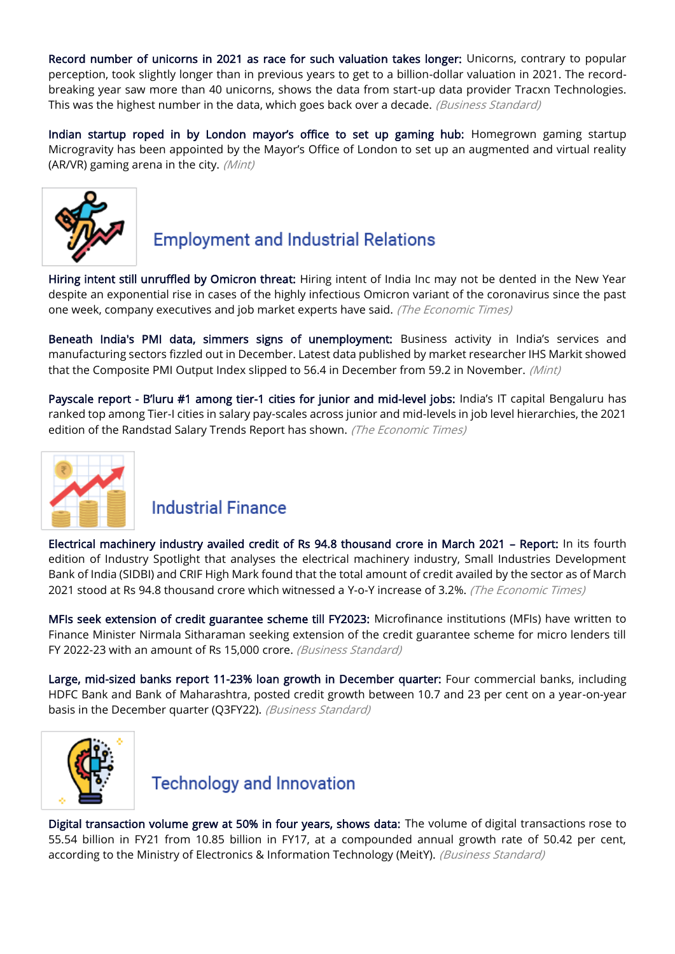[Record number of unicorns in 2021 as race for such valuation takes longer:](https://www.business-standard.com/article/companies/record-number-of-unicorns-in-2021-as-race-for-such-valuation-takes-longer-121123101118_1.html) Unicorns, contrary to popular perception, took slightly longer than in previous years to get to a billion-dollar valuation in 2021. The recordbreaking year saw more than 40 unicorns, shows the data from start-up data provider Tracxn Technologies. This was the highest number in the data, which goes back over a decade. (Business Standard)

[Indian startup roped in by London mayor's office to set up gaming hub:](https://www.livemint.com/companies/start-ups/indian-startup-roped-in-by-london-mayor-s-office-to-set-up-gaming-hub-11641361418504.html) Homegrown gaming startup Microgravity has been appointed by the Mayor's Office of London to set up an augmented and virtual reality (AR/VR) gaming arena in the city. (Mint)



## **Employment and Industrial Relations**

[Hiring intent still unruffled by Omicron threat:](https://economictimes.indiatimes.com/jobs/hiring-intent-still-unruffled-by-omicron-threat/articleshow/88700577.cms) Hiring intent of India Inc may not be dented in the New Year despite an exponential rise in cases of the highly infectious Omicron variant of the coronavirus since the past one week, company executives and job market experts have said. (The Economic Times)

[Beneath India's PMI data, simmers signs of unemployment:](https://www.livemint.com/market/mark-to-market/little-cheer-on-the-jobs-front-in-composite-pmi-11641406400169.html) Business activity in India's services and manufacturing sectors fizzled out in December. Latest data published by market researcher IHS Markit showed that the Composite PMI Output Index slipped to 56.4 in December from 59.2 in November. (Mint)

Payscale report - B'luru #1 among tier[-1 cities for junior and mid-level jobs:](https://economictimes.indiatimes.com/jobs/payscale-report-bluru-1-among-tier-1-cities-for-junior-and-mid-level-jobs/articleshow/88667620.cms) India's IT capital Bengaluru has ranked top among Tier-I cities in salary pay-scales across junior and mid-levels in job level hierarchies, the 2021 edition of the Randstad Salary Trends Report has shown. (The Economic Times)



#### **Industrial Finance**

[Electrical machinery industry availed credit of Rs 94.8 thousand crore in March 2021](https://economictimes.indiatimes.com/small-biz/sme-sector/electrical-machinery-industry-availed-credit-of-rs-94-8-thousand-crore-in-march-2021-report/articleshow/88727795.cms) – Report: In its fourth edition of Industry Spotlight that analyses the electrical machinery industry, Small Industries Development Bank of India (SIDBI) and CRIF High Mark found that the total amount of credit availed by the sector as of March 2021 stood at Rs 94.8 thousand crore which witnessed a Y-o-Y increase of 3.2%. (The Economic Times)

[MFIs seek extension of credit guarantee scheme till FY2023:](https://www.business-standard.com/article/economy-policy/mfis-seek-extension-of-credit-guarantee-scheme-till-fy2023-122010501295_1.html) Microfinance institutions (MFIs) have written to Finance Minister Nirmala Sitharaman seeking extension of the credit guarantee scheme for micro lenders till FY 2022-23 with an amount of Rs 15,000 crore. (Business Standard)

[Large, mid-sized banks report 11-23% loan growth in December quarter:](https://www.business-standard.com/article/companies/large-mid-sized-banks-report-11-23-loan-growth-in-december-quarter-122010500018_1.html) Four commercial banks, including HDFC Bank and Bank of Maharashtra, posted credit growth between 10.7 and 23 per cent on a year-on-year basis in the December quarter (Q3FY22). (Business Standard)



**Technology and Innovation** 

[Digital transaction volume grew at 50% in four years, shows data:](https://www.business-standard.com/article/economy-policy/digital-transaction-volume-grew-at-50-in-four-years-shows-data-121123101357_1.html) The volume of digital transactions rose to 55.54 billion in FY21 from 10.85 billion in FY17, at a compounded annual growth rate of 50.42 per cent, according to the Ministry of Electronics & Information Technology (MeitY). (Business Standard)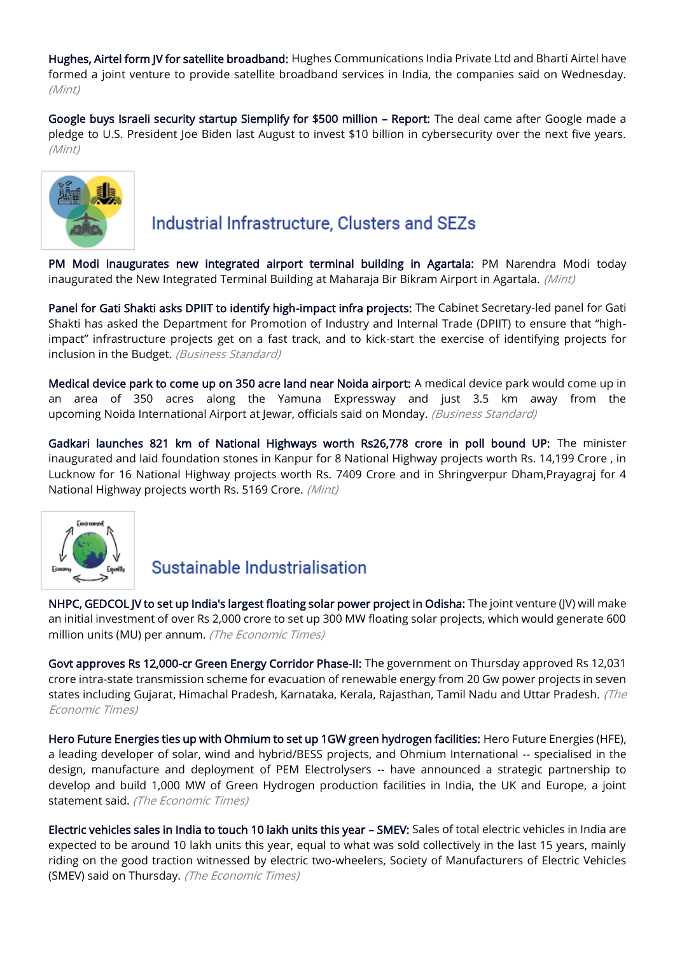[Hughes, Airtel form JV for satellite broadband:](https://www.livemint.com/industry/telecom/bharti-airtel-hughes-form-jv-for-satellite-broadband-services-in-india-11641356167645.html) Hughes Communications India Private Ltd and Bharti Airtel have formed a joint venture to provide satellite broadband services in India, the companies said on Wednesday. (Mint)

[Google buys Israeli security startup Siemplify for \\$500 million](https://www.livemint.com/companies/news/google-buys-israeli-security-startup-siemplify-for-500-million-report-11641340848495.html) – Report: The deal came after Google made a pledge to U.S. President Joe Biden last August to invest \$10 billion in cybersecurity over the next five years. (Mint)



### Industrial Infrastructure, Clusters and SEZs

[PM Modi inaugurates new integrated airport terminal building in Agartala:](https://www.livemint.com/news/india/pm-modi-inaugurates-new-integrated-airport-terminal-building-in-agartala-11641291571493.html) PM Narendra Modi today inaugurated the New Integrated Terminal Building at Maharaja Bir Bikram Airport in Agartala. (Mint)

[Panel for Gati Shakti asks DPIIT to identify high-impact infra projects:](https://www.business-standard.com/budget/article/panel-for-gati-shakti-asks-dpiit-to-identify-high-impact-infra-projects-122010500061_1.html) The Cabinet Secretary-led panel for Gati Shakti has asked the Department for Promotion of Industry and Internal Trade (DPIIT) to ensure that "highimpact" infrastructure projects get on a fast track, and to kick-start the exercise of identifying projects for inclusion in the Budget. (Business Standard)

[Medical device park to come up on 350 acre land near Noida airport:](https://www.business-standard.com/article/current-affairs/medical-device-park-to-come-up-on-350-acre-land-near-noida-airport-122010301467_1.html) A medical device park would come up in an area of 350 acres along the Yamuna Expressway and just 3.5 km away from the upcoming Noida International Airport at Jewar, officials said on Monday. (Business Standard)

[Gadkari launches 821 km of National Highways worth Rs26,778 crore in poll bound UP:](https://www.livemint.com/industry/infrastructure/gadkari-launches-821-km-of-national-highways-worth-rs26-778-crore-in-poll-bound-up-11641389722067.html) The minister inaugurated and laid foundation stones in Kanpur for 8 National Highway projects worth Rs. 14,199 Crore , in Lucknow for 16 National Highway projects worth Rs. 7409 Crore and in Shringverpur Dham,Prayagraj for 4 National Highway projects worth Rs. 5169 Crore. (Mint)



### Sustainable Industrialisation

[NHPC, GEDCOL JV to set up India's largest floating solar power project in Odisha:](https://economictimes.indiatimes.com/industry/renewables/nhpc-gedcol-jv-to-set-up-indias-largest-floating-solar-power-project-in-odisha/articleshow/88736335.cms) The joint venture (JV) will make an initial investment of over Rs 2,000 crore to set up 300 MW floating solar projects, which would generate 600 million units (MU) per annum. (The Economic Times)

[Govt approves Rs 12,000-cr Green Energy Corridor Phase-II:](https://economictimes.indiatimes.com/industry/renewables/cabinet-approves-rs-12000-cr-for-2nd-phase-of-green-energy-corridor/articleshow/88734368.cms) The government on Thursday approved Rs 12,031 crore intra-state transmission scheme for evacuation of renewable energy from 20 Gw power projects in seven states including Gujarat, Himachal Pradesh, Karnataka, Kerala, Rajasthan, Tamil Nadu and Uttar Pradesh. (The Economic Times)

[Hero Future Energies ties up with Ohmium to set up 1GW green hydrogen facilities:](https://economictimes.indiatimes.com/industry/renewables/hero-future-energies-ties-up-with-ohmium-to-set-up-1gw-green-hydrogen-facilities/articleshow/88729565.cms) Hero Future Energies (HFE), a leading developer of solar, wind and hybrid/BESS projects, and Ohmium International -- specialised in the design, manufacture and deployment of PEM Electrolysers -- have announced a strategic partnership to develop and build 1,000 MW of Green Hydrogen production facilities in India, the UK and Europe, a joint statement said. (The Economic Times)

[Electric vehicles sales in India to touch 10 lakh units this year](https://economictimes.indiatimes.com/industry/renewables/electric-vehicles-sales-in-india-to-touch-10-lakh-units-this-year-smev/articleshow/88728996.cms) – SMEV: Sales of total electric vehicles in India are expected to be around 10 lakh units this year, equal to what was sold collectively in the last 15 years, mainly riding on the good traction witnessed by electric two-wheelers, Society of Manufacturers of Electric Vehicles (SMEV) said on Thursday. (The Economic Times)